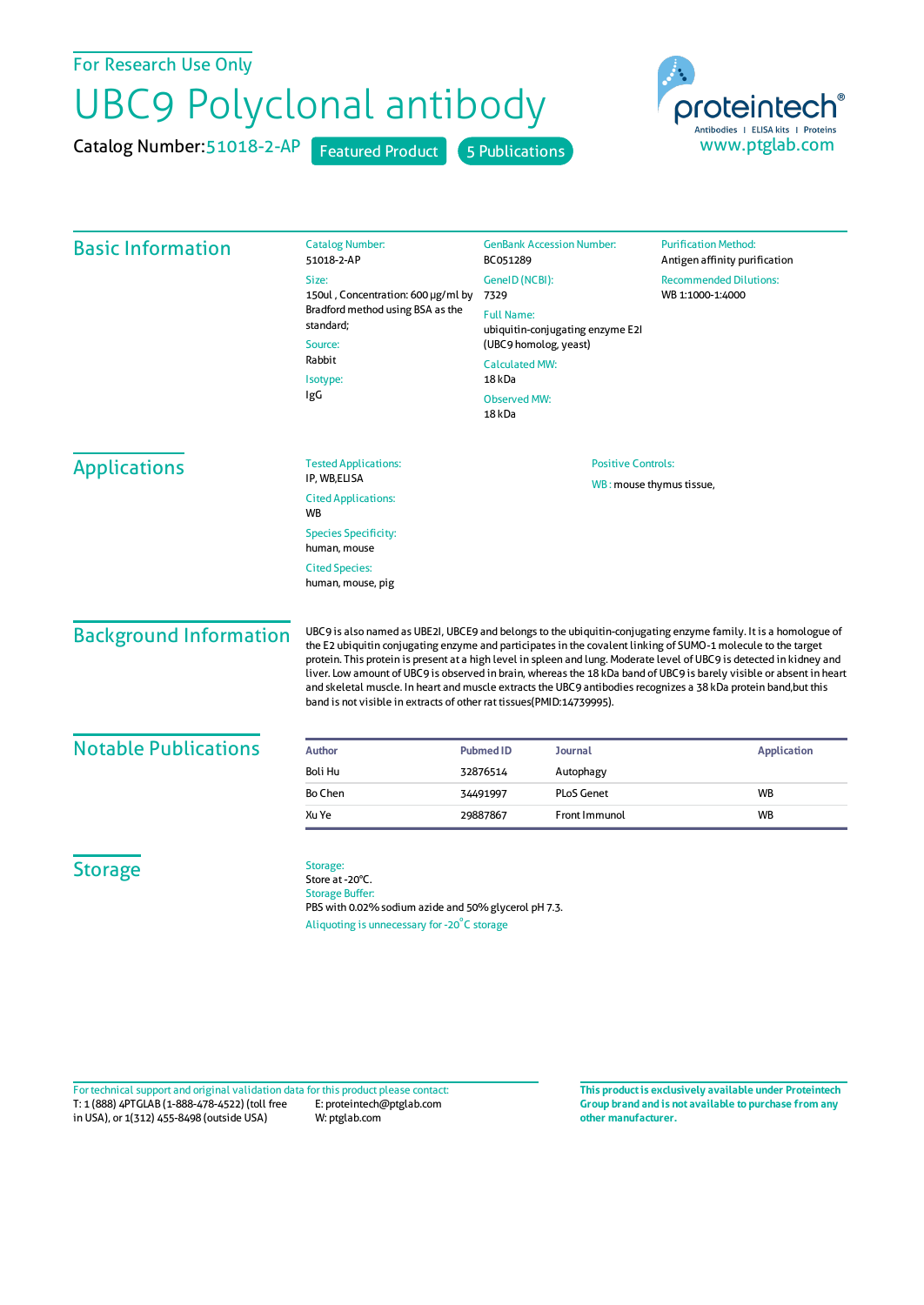## For Research Use Only

## UBC9 Polyclonal antibody

Catalog Number: 51018-2-AP Featured Product 5 Publications



| <b>Basic Information</b>                    | <b>Catalog Number:</b><br>51018-2-AP                                                                                                                                                                                                                                                                                                                                                                                                                                                                                                                                                                                                                                         | <b>GenBank Accession Number:</b><br>BC051289 | <b>Purification Method:</b><br>Antigen affinity purification |                                                           |
|---------------------------------------------|------------------------------------------------------------------------------------------------------------------------------------------------------------------------------------------------------------------------------------------------------------------------------------------------------------------------------------------------------------------------------------------------------------------------------------------------------------------------------------------------------------------------------------------------------------------------------------------------------------------------------------------------------------------------------|----------------------------------------------|--------------------------------------------------------------|-----------------------------------------------------------|
|                                             | Size:<br>150ul, Concentration: 600 µg/ml by<br>Bradford method using BSA as the<br>standard;<br>Source:<br>Rabbit<br>Isotype:<br>IgG                                                                                                                                                                                                                                                                                                                                                                                                                                                                                                                                         | GenelD (NCBI):<br>7329<br><b>Full Name:</b>  | <b>Recommended Dilutions:</b><br>WB 1:1000-1:4000            |                                                           |
|                                             |                                                                                                                                                                                                                                                                                                                                                                                                                                                                                                                                                                                                                                                                              |                                              |                                                              | ubiquitin-conjugating enzyme E2I<br>(UBC9 homolog, yeast) |
|                                             |                                                                                                                                                                                                                                                                                                                                                                                                                                                                                                                                                                                                                                                                              | <b>Calculated MW:</b>                        |                                                              |                                                           |
|                                             |                                                                                                                                                                                                                                                                                                                                                                                                                                                                                                                                                                                                                                                                              | 18 kDa                                       |                                                              |                                                           |
|                                             |                                                                                                                                                                                                                                                                                                                                                                                                                                                                                                                                                                                                                                                                              | <b>Observed MW:</b><br>18 <sub>kDa</sub>     |                                                              |                                                           |
|                                             |                                                                                                                                                                                                                                                                                                                                                                                                                                                                                                                                                                                                                                                                              | <b>Applications</b>                          | <b>Tested Applications:</b>                                  | <b>Positive Controls:</b>                                 |
| IP, WB,ELISA<br><b>Cited Applications:</b>  | WB: mouse thymus tissue,                                                                                                                                                                                                                                                                                                                                                                                                                                                                                                                                                                                                                                                     |                                              |                                                              |                                                           |
| <b>WB</b>                                   |                                                                                                                                                                                                                                                                                                                                                                                                                                                                                                                                                                                                                                                                              |                                              |                                                              |                                                           |
| <b>Species Specificity:</b><br>human, mouse |                                                                                                                                                                                                                                                                                                                                                                                                                                                                                                                                                                                                                                                                              |                                              |                                                              |                                                           |
| <b>Cited Species:</b>                       |                                                                                                                                                                                                                                                                                                                                                                                                                                                                                                                                                                                                                                                                              |                                              |                                                              |                                                           |
| human, mouse, pig                           |                                                                                                                                                                                                                                                                                                                                                                                                                                                                                                                                                                                                                                                                              |                                              |                                                              |                                                           |
| <b>Background Information</b>               | UBC9 is also named as UBE2I, UBCE9 and belongs to the ubiquitin-conjugating enzyme family. It is a homologue of<br>the E2 ubiquitin conjugating enzyme and participates in the covalent linking of SUMO-1 molecule to the target<br>protein. This protein is present at a high level in spleen and lung. Moderate level of UBC9 is detected in kidney and<br>liver. Low amount of UBC9 is observed in brain, whereas the 18 kDa band of UBC9 is barely visible or absent in heart<br>and skeletal muscle. In heart and muscle extracts the UBC9 antibodies recognizes a 38 kDa protein band,but this<br>band is not visible in extracts of other rat tissues(PMID:14739995). |                                              |                                                              |                                                           |
| <b>Notable Publications</b>                 | <b>Author</b>                                                                                                                                                                                                                                                                                                                                                                                                                                                                                                                                                                                                                                                                | <b>Pubmed ID</b><br><b>Journal</b>           | <b>Application</b>                                           |                                                           |
|                                             | Boli Hu                                                                                                                                                                                                                                                                                                                                                                                                                                                                                                                                                                                                                                                                      | 32876514<br>Autophagy                        |                                                              |                                                           |
|                                             | Bo Chen                                                                                                                                                                                                                                                                                                                                                                                                                                                                                                                                                                                                                                                                      | <b>PLoS Genet</b><br>34491997                | <b>WB</b>                                                    |                                                           |
|                                             | Xu Ye                                                                                                                                                                                                                                                                                                                                                                                                                                                                                                                                                                                                                                                                        | 29887867<br>Front Immunol                    | <b>WB</b>                                                    |                                                           |
| <b>Storage</b>                              | Storage:<br>Store at -20°C.<br><b>Storage Buffer:</b><br>PBS with 0.02% sodium azide and 50% glycerol pH 7.3.<br>Aliquoting is unnecessary for -20°C storage                                                                                                                                                                                                                                                                                                                                                                                                                                                                                                                 |                                              |                                                              |                                                           |

T: 1 (888) 4PTGLAB (1-888-478-4522) (toll free in USA), or 1(312) 455-8498 (outside USA) E: proteintech@ptglab.com W: ptglab.com Fortechnical support and original validation data forthis product please contact: **This productis exclusively available under Proteintech**

**Group brand and is not available to purchase from any other manufacturer.**